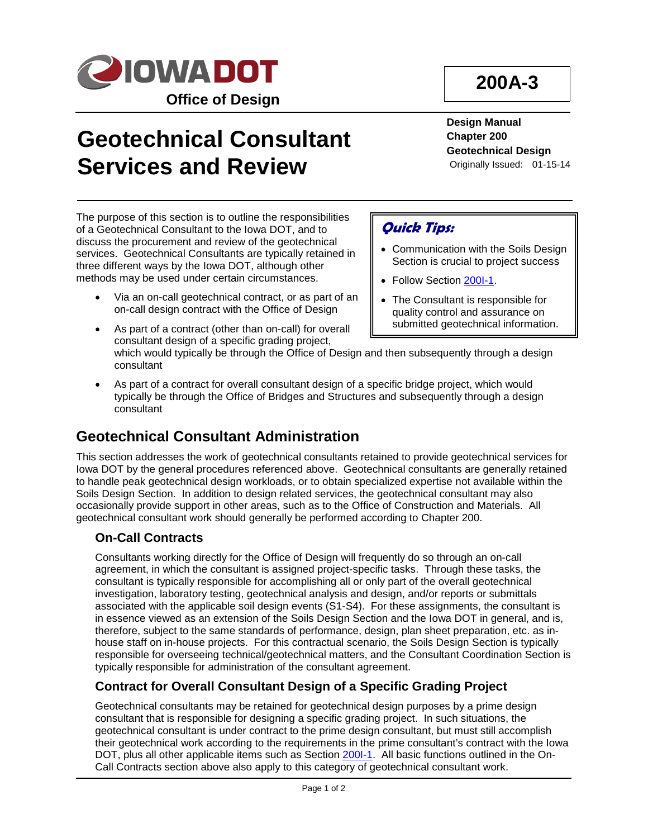

# **Geotechnical Consultant Services and Review**

The purpose of this section is to outline the responsibilities of a Geotechnical Consultant to the Iowa DOT, and to discuss the procurement and review of the geotechnical services. Geotechnical Consultants are typically retained in three different ways by the Iowa DOT, although other methods may be used under certain circumstances.

• Via an on-call geotechnical contract, or as part of an on-call design contract with the Office of Design

As part of a contract (other than on-call) for overall

## **200A-3**

**Design Manual Chapter 200 Geotechnical Design** Originally Issued: 01-15-14

### **Quick Tips:**

- Communication with the Soils Design Section is crucial to project success
- Follow Section 200I-1.
- The Consultant is responsible for quality control and assurance on submitted geotechnical information.
- consultant design of a specific grading project, which would typically be through the Office of Design and then subsequently through a design consultant
- As part of a contract for overall consultant design of a specific bridge project, which would typically be through the Office of Bridges and Structures and subsequently through a design consultant

## **Geotechnical Consultant Administration**

This section addresses the work of geotechnical consultants retained to provide geotechnical services for Iowa DOT by the general procedures referenced above. Geotechnical consultants are generally retained to handle peak geotechnical design workloads, or to obtain specialized expertise not available within the Soils Design Section. In addition to design related services, the geotechnical consultant may also occasionally provide support in other areas, such as to the Office of Construction and Materials. All geotechnical consultant work should generally be performed according to Chapter 200.

#### **On-Call Contracts**

Consultants working directly for the Office of Design will frequently do so through an on-call agreement, in which the consultant is assigned project-specific tasks. Through these tasks, the consultant is typically responsible for accomplishing all or only part of the overall geotechnical investigation, laboratory testing, geotechnical analysis and design, and/or reports or submittals associated with the applicable soil design events (S1-S4). For these assignments, the consultant is in essence viewed as an extension of the Soils Design Section and the Iowa DOT in general, and is, therefore, subject to the same standards of performance, design, plan sheet preparation, etc. as inhouse staff on in-house projects. For this contractual scenario, the Soils Design Section is typically responsible for overseeing technical/geotechnical matters, and the Consultant Coordination Section is typically responsible for administration of the consultant agreement.

#### **Contract for Overall Consultant Design of a Specific Grading Project**

Geotechnical consultants may be retained for geotechnical design purposes by a prime design consultant that is responsible for designing a specific grading project. In such situations, the geotechnical consultant is under contract to the prime design consultant, but must still accomplish their geotechnical work according to the requirements in the prime consultant's contract with the Iowa DOT, plus all other applicable items such as Section 2001-1. All basic functions outlined in the On-Call Contracts section above also apply to this category of geotechnical consultant work.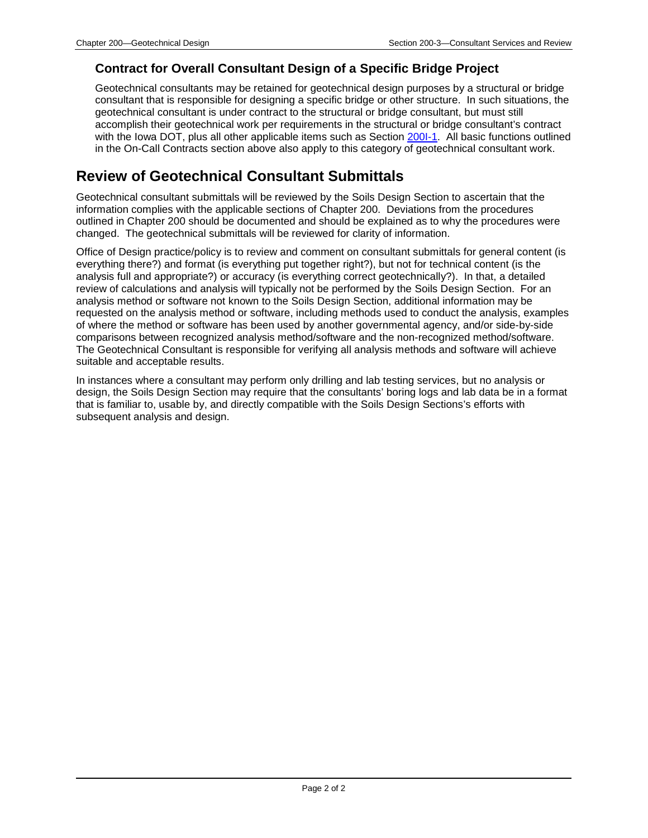#### **Contract for Overall Consultant Design of a Specific Bridge Project**

Geotechnical consultants may be retained for geotechnical design purposes by a structural or bridge consultant that is responsible for designing a specific bridge or other structure. In such situations, the geotechnical consultant is under contract to the structural or bridge consultant, but must still accomplish their geotechnical work per requirements in the structural or bridge consultant's contract with the Iowa DOT, plus all other applicable items such as Section 200I-1. All basic functions outlined in the On-Call Contracts section above also apply to this category of geotechnical consultant work.

### **Review of Geotechnical Consultant Submittals**

Geotechnical consultant submittals will be reviewed by the Soils Design Section to ascertain that the information complies with the applicable sections of Chapter 200. Deviations from the procedures outlined in Chapter 200 should be documented and should be explained as to why the procedures were changed. The geotechnical submittals will be reviewed for clarity of information.

Office of Design practice/policy is to review and comment on consultant submittals for general content (is everything there?) and format (is everything put together right?), but not for technical content (is the analysis full and appropriate?) or accuracy (is everything correct geotechnically?). In that, a detailed review of calculations and analysis will typically not be performed by the Soils Design Section. For an analysis method or software not known to the Soils Design Section, additional information may be requested on the analysis method or software, including methods used to conduct the analysis, examples of where the method or software has been used by another governmental agency, and/or side-by-side comparisons between recognized analysis method/software and the non-recognized method/software. The Geotechnical Consultant is responsible for verifying all analysis methods and software will achieve suitable and acceptable results.

In instances where a consultant may perform only drilling and lab testing services, but no analysis or design, the Soils Design Section may require that the consultants' boring logs and lab data be in a format that is familiar to, usable by, and directly compatible with the Soils Design Sections's efforts with subsequent analysis and design.